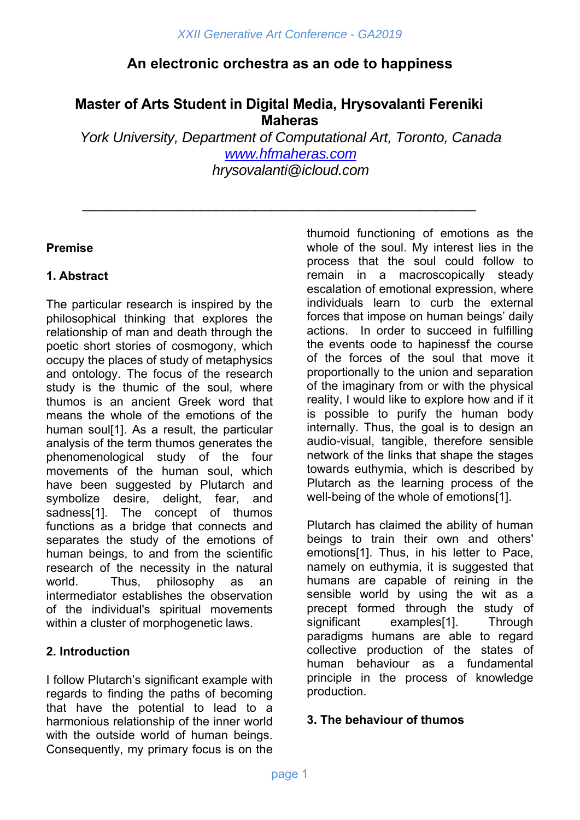# **An electronic orchestra as an ode to happiness**

# **Master of Arts Student in Digital Media, Hrysovalanti Fereniki Maheras**

\_\_\_\_\_\_\_\_\_\_\_\_\_\_\_\_\_\_\_\_\_\_\_\_\_\_\_\_\_\_\_\_\_\_\_\_\_\_\_\_\_\_\_\_\_\_\_\_\_\_

*York University, Department of Computational Art, Toronto, Canada www.hfmaheras.com hrysovalanti@icloud.com* 

## **Premise**

## **1. Abstract**

The particular research is inspired by the philosophical thinking that explores the relationship of man and death through the poetic short stories of cosmogony, which occupy the places of study of metaphysics and ontology. The focus of the research study is the thumic of the soul, where thumos is an ancient Greek word that means the whole of the emotions of the human soul[1]. As a result, the particular analysis of the term thumos generates the phenomenological study of the four movements of the human soul, which have been suggested by Plutarch and symbolize desire, delight, fear, and sadness[1]. The concept of thumos functions as a bridge that connects and separates the study of the emotions of human beings, to and from the scientific research of the necessity in the natural world. Thus, philosophy as an intermediator establishes the observation of the individual's spiritual movements within a cluster of morphogenetic laws.

## **2. Introduction**

I follow Plutarch's significant example with regards to finding the paths of becoming that have the potential to lead to a harmonious relationship of the inner world with the outside world of human beings. Consequently, my primary focus is on the

thumoid functioning of emotions as the whole of the soul. My interest lies in the process that the soul could follow to remain in a macroscopically steady escalation of emotional expression, where individuals learn to curb the external forces that impose on human beings' daily actions. In order to succeed in fulfilling the events oode to hapinessf the course of the forces of the soul that move it proportionally to the union and separation of the imaginary from or with the physical reality, I would like to explore how and if it is possible to purify the human body internally. Thus, the goal is to design an audio-visual, tangible, therefore sensible network of the links that shape the stages towards euthymia, which is described by Plutarch as the learning process of the well-being of the whole of emotions[1].

Plutarch has claimed the ability of human beings to train their own and others' emotions[1]. Thus, in his letter to Pace, namely on euthymia, it is suggested that humans are capable of reining in the sensible world by using the wit as a precept formed through the study of significant examples[1]. Through paradigms humans are able to regard collective production of the states of human behaviour as a fundamental principle in the process of knowledge production.

## **3. The behaviour of thumos**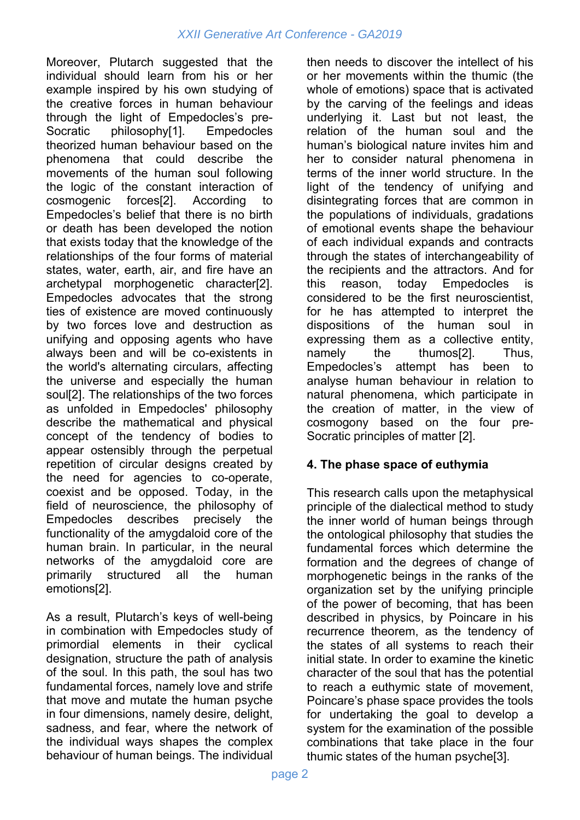Moreover, Plutarch suggested that the individual should learn from his or her example inspired by his own studying of the creative forces in human behaviour through the light of Empedocles's pre-Socratic philosophy[1]. Empedocles theorized human behaviour based on the phenomena that could describe the movements of the human soul following the logic of the constant interaction of cosmogenic forces[2]. According to Empedocles's belief that there is no birth or death has been developed the notion that exists today that the knowledge of the relationships of the four forms of material states, water, earth, air, and fire have an archetypal morphogenetic character[2]. Empedocles advocates that the strong ties of existence are moved continuously by two forces love and destruction as unifying and opposing agents who have always been and will be co-existents in the world's alternating circulars, affecting the universe and especially the human soul[2]. The relationships of the two forces as unfolded in Empedocles' philosophy describe the mathematical and physical concept of the tendency of bodies to appear ostensibly through the perpetual repetition of circular designs created by the need for agencies to co-operate, coexist and be opposed. Today, in the field of neuroscience, the philosophy of Empedocles describes precisely the functionality of the amygdaloid core of the human brain. In particular, in the neural networks of the amygdaloid core are primarily structured all the human emotions[2].

As a result, Plutarch's keys of well-being in combination with Empedocles study of primordial elements in their cyclical designation, structure the path of analysis of the soul. In this path, the soul has two fundamental forces, namely love and strife that move and mutate the human psyche in four dimensions, namely desire, delight, sadness, and fear, where the network of the individual ways shapes the complex behaviour of human beings. The individual then needs to discover the intellect of his or her movements within the thumic (the whole of emotions) space that is activated by the carving of the feelings and ideas underlying it. Last but not least, the relation of the human soul and the human's biological nature invites him and her to consider natural phenomena in terms of the inner world structure. In the light of the tendency of unifying and disintegrating forces that are common in the populations of individuals, gradations of emotional events shape the behaviour of each individual expands and contracts through the states of interchangeability of the recipients and the attractors. And for this reason, today Empedocles is considered to be the first neuroscientist, for he has attempted to interpret the dispositions of the human soul in expressing them as a collective entity, namely the thumos[2]. Thus, Empedocles's attempt has been to analyse human behaviour in relation to natural phenomena, which participate in the creation of matter, in the view of cosmogony based on the four pre-Socratic principles of matter [2].

## **4. The phase space of euthymia**

This research calls upon the metaphysical principle of the dialectical method to study the inner world of human beings through the ontological philosophy that studies the fundamental forces which determine the formation and the degrees of change of morphogenetic beings in the ranks of the organization set by the unifying principle of the power of becoming, that has been described in physics, by Poincare in his recurrence theorem, as the tendency of the states of all systems to reach their initial state. In order to examine the kinetic character of the soul that has the potential to reach a euthymic state of movement, Poincare's phase space provides the tools for undertaking the goal to develop a system for the examination of the possible combinations that take place in the four thumic states of the human psyche[3].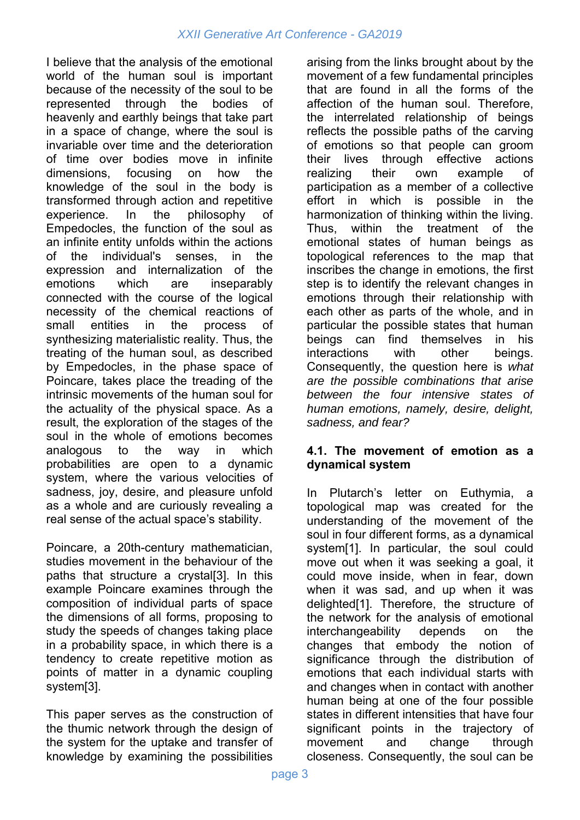I believe that the analysis of the emotional world of the human soul is important because of the necessity of the soul to be represented through the bodies of heavenly and earthly beings that take part in a space of change, where the soul is invariable over time and the deterioration of time over bodies move in infinite dimensions, focusing on how the knowledge of the soul in the body is transformed through action and repetitive experience. In the philosophy of Empedocles, the function of the soul as an infinite entity unfolds within the actions of the individual's senses, in the expression and internalization of the emotions which are inseparably connected with the course of the logical necessity of the chemical reactions of small entities in the process of synthesizing materialistic reality. Thus, the treating of the human soul, as described by Empedocles, in the phase space of Poincare, takes place the treading of the intrinsic movements of the human soul for the actuality of the physical space. As a result, the exploration of the stages of the soul in the whole of emotions becomes analogous to the way in which probabilities are open to a dynamic system, where the various velocities of sadness, joy, desire, and pleasure unfold as a whole and are curiously revealing a real sense of the actual space's stability.

Poincare, a 20th-century mathematician, studies movement in the behaviour of the paths that structure a crystal[3]. In this example Poincare examines through the composition of individual parts of space the dimensions of all forms, proposing to study the speeds of changes taking place in a probability space, in which there is a tendency to create repetitive motion as points of matter in a dynamic coupling system[3].

This paper serves as the construction of the thumic network through the design of the system for the uptake and transfer of knowledge by examining the possibilities

arising from the links brought about by the movement of a few fundamental principles that are found in all the forms of the affection of the human soul. Therefore, the interrelated relationship of beings reflects the possible paths of the carving of emotions so that people can groom their lives through effective actions realizing their own example of participation as a member of a collective effort in which is possible in the harmonization of thinking within the living. Thus, within the treatment of the emotional states of human beings as topological references to the map that inscribes the change in emotions, the first step is to identify the relevant changes in emotions through their relationship with each other as parts of the whole, and in particular the possible states that human beings can find themselves in his interactions with other beings. Consequently, the question here is *what are the possible combinations that arise between the four intensive states of human emotions, namely, desire, delight, sadness, and fear?* 

#### **4.1. The movement of emotion as a dynamical system**

In Plutarch's letter on Euthymia, a topological map was created for the understanding of the movement of the soul in four different forms, as a dynamical system[1]. In particular, the soul could move out when it was seeking a goal, it could move inside, when in fear, down when it was sad, and up when it was delighted[1]. Therefore, the structure of the network for the analysis of emotional interchangeability depends on the changes that embody the notion of significance through the distribution of emotions that each individual starts with and changes when in contact with another human being at one of the four possible states in different intensities that have four significant points in the trajectory of movement and change through closeness. Consequently, the soul can be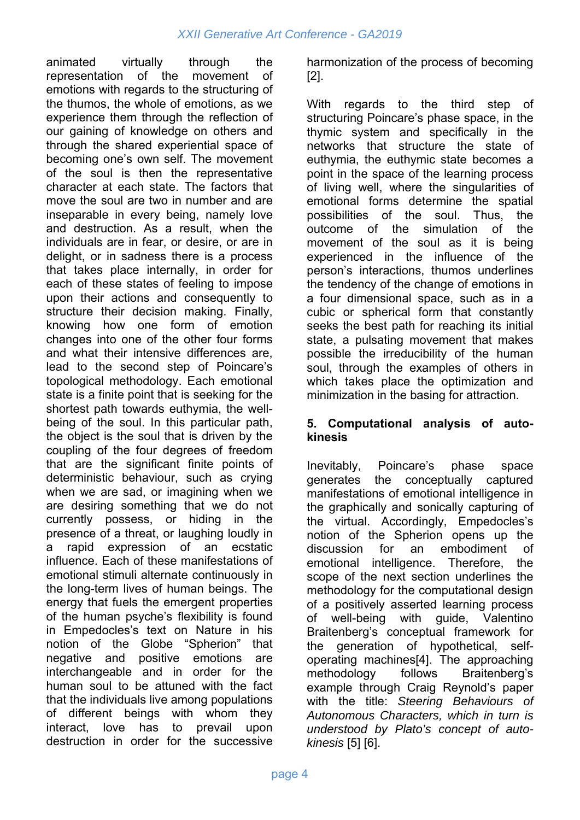animated virtually through the representation of the movement of emotions with regards to the structuring of the thumos, the whole of emotions, as we experience them through the reflection of our gaining of knowledge on others and through the shared experiential space of becoming one's own self. The movement of the soul is then the representative character at each state. The factors that move the soul are two in number and are inseparable in every being, namely love and destruction. As a result, when the individuals are in fear, or desire, or are in delight, or in sadness there is a process that takes place internally, in order for each of these states of feeling to impose upon their actions and consequently to structure their decision making. Finally, knowing how one form of emotion changes into one of the other four forms and what their intensive differences are, lead to the second step of Poincare's topological methodology. Each emotional state is a finite point that is seeking for the shortest path towards euthymia, the wellbeing of the soul. In this particular path, the object is the soul that is driven by the coupling of the four degrees of freedom that are the significant finite points of deterministic behaviour, such as crying when we are sad, or imagining when we are desiring something that we do not currently possess, or hiding in the presence of a threat, or laughing loudly in a rapid expression of an ecstatic influence. Each of these manifestations of emotional stimuli alternate continuously in the long-term lives of human beings. The energy that fuels the emergent properties of the human psyche's flexibility is found in Empedocles's text on Nature in his notion of the Globe "Spherion" that negative and positive emotions are interchangeable and in order for the human soul to be attuned with the fact that the individuals live among populations of different beings with whom they interact, love has to prevail upon destruction in order for the successive

harmonization of the process of becoming [2].

With regards to the third step of structuring Poincare's phase space, in the thymic system and specifically in the networks that structure the state of euthymia, the euthymic state becomes a point in the space of the learning process of living well, where the singularities of emotional forms determine the spatial possibilities of the soul. Thus, the outcome of the simulation of the movement of the soul as it is being experienced in the influence of the person's interactions, thumos underlines the tendency of the change of emotions in a four dimensional space, such as in a cubic or spherical form that constantly seeks the best path for reaching its initial state, a pulsating movement that makes possible the irreducibility of the human soul, through the examples of others in which takes place the optimization and minimization in the basing for attraction.

### **5. Computational analysis of autokinesis**

Inevitably, Poincare's phase space generates the conceptually captured manifestations of emotional intelligence in the graphically and sonically capturing of the virtual. Accordingly, Empedocles's notion of the Spherion opens up the discussion for an embodiment of emotional intelligence. Therefore, the scope of the next section underlines the methodology for the computational design of a positively asserted learning process of well-being with guide, Valentino Braitenberg's conceptual framework for the generation of hypothetical, selfoperating machines[4]. The approaching methodology follows Braitenberg's example through Craig Reynold's paper with the title: *Steering Behaviours of Autonomous Characters, which in turn is understood by Plato's concept of autokinesis* [5] [6].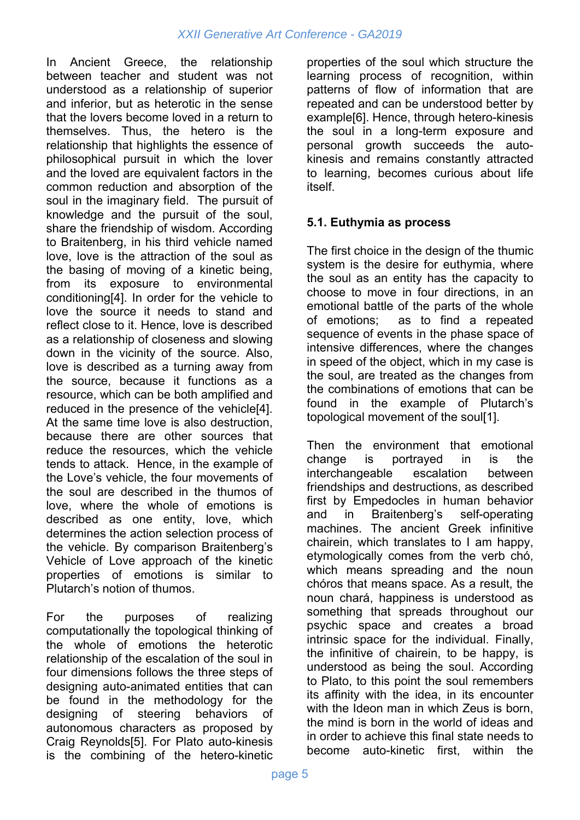In Ancient Greece, the relationship between teacher and student was not understood as a relationship of superior and inferior, but as heterotic in the sense that the lovers become loved in a return to themselves. Thus, the hetero is the relationship that highlights the essence of philosophical pursuit in which the lover and the loved are equivalent factors in the common reduction and absorption of the soul in the imaginary field. The pursuit of knowledge and the pursuit of the soul, share the friendship of wisdom. According to Braitenberg, in his third vehicle named love, love is the attraction of the soul as the basing of moving of a kinetic being, from its exposure to environmental conditioning[4]. In order for the vehicle to love the source it needs to stand and reflect close to it. Hence, love is described as a relationship of closeness and slowing down in the vicinity of the source. Also, love is described as a turning away from the source, because it functions as a resource, which can be both amplified and reduced in the presence of the vehicle[4]. At the same time love is also destruction, because there are other sources that reduce the resources, which the vehicle tends to attack. Hence, in the example of the Love's vehicle, the four movements of the soul are described in the thumos of love, where the whole of emotions is described as one entity, love, which determines the action selection process of the vehicle. By comparison Braitenberg's Vehicle of Love approach of the kinetic properties of emotions is similar to Plutarch's notion of thumos.

For the purposes of realizing computationally the topological thinking of the whole of emotions the heterotic relationship of the escalation of the soul in four dimensions follows the three steps of designing auto-animated entities that can be found in the methodology for the designing of steering behaviors of autonomous characters as proposed by Craig Reynolds[5]. For Plato auto-kinesis is the combining of the hetero-kinetic

properties of the soul which structure the learning process of recognition, within patterns of flow of information that are repeated and can be understood better by example[6]. Hence, through hetero-kinesis the soul in a long-term exposure and personal growth succeeds the autokinesis and remains constantly attracted to learning, becomes curious about life itself.

### **5.1. Euthymia as process**

The first choice in the design of the thumic system is the desire for euthymia, where the soul as an entity has the capacity to choose to move in four directions, in an emotional battle of the parts of the whole of emotions; as to find a repeated sequence of events in the phase space of intensive differences, where the changes in speed of the object, which in my case is the soul, are treated as the changes from the combinations of emotions that can be found in the example of Plutarch's topological movement of the soul[1].

Then the environment that emotional change is portrayed in is the interchangeable escalation between friendships and destructions, as described first by Empedocles in human behavior and in Braitenberg's self-operating machines. The ancient Greek infinitive chairein, which translates to I am happy, etymologically comes from the verb chó, which means spreading and the noun chóros that means space. As a result, the noun chará, happiness is understood as something that spreads throughout our psychic space and creates a broad intrinsic space for the individual. Finally, the infinitive of chairein, to be happy, is understood as being the soul. According to Plato, to this point the soul remembers its affinity with the idea, in its encounter with the Ideon man in which Zeus is born. the mind is born in the world of ideas and in order to achieve this final state needs to become auto-kinetic first, within the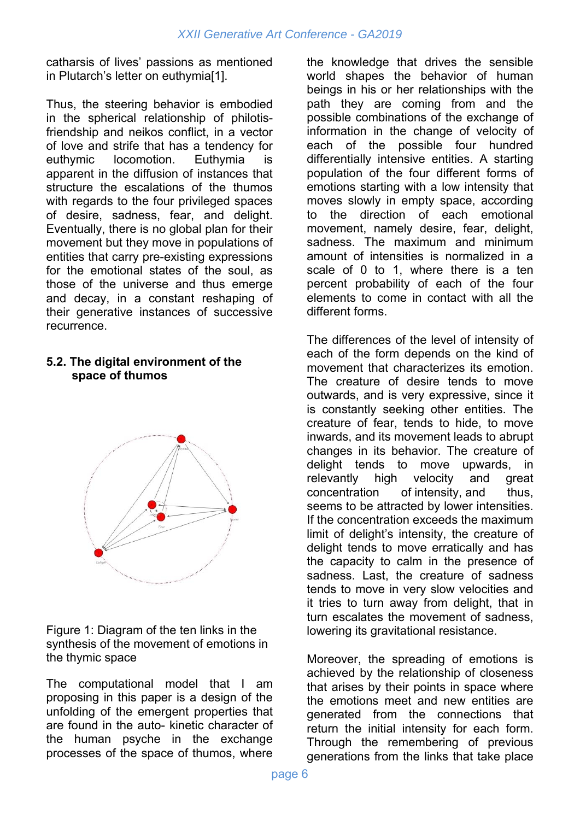catharsis of lives' passions as mentioned in Plutarch's letter on euthymia[1].

Thus, the steering behavior is embodied in the spherical relationship of philotisfriendship and neikos conflict, in a vector of love and strife that has a tendency for euthymic locomotion. Euthymia is apparent in the diffusion of instances that structure the escalations of the thumos with regards to the four privileged spaces of desire, sadness, fear, and delight. Eventually, there is no global plan for their movement but they move in populations of entities that carry pre-existing expressions for the emotional states of the soul, as those of the universe and thus emerge and decay, in a constant reshaping of their generative instances of successive recurrence.

#### **5.2. The digital environment of the space of thumos**



Figure 1: Diagram of the ten links in the synthesis of the movement of emotions in the thymic space

The computational model that I am proposing in this paper is a design of the unfolding of the emergent properties that are found in the auto- kinetic character of the human psyche in the exchange processes of the space of thumos, where the knowledge that drives the sensible world shapes the behavior of human beings in his or her relationships with the path they are coming from and the possible combinations of the exchange of information in the change of velocity of each of the possible four hundred differentially intensive entities. A starting population of the four different forms of emotions starting with a low intensity that moves slowly in empty space, according to the direction of each emotional movement, namely desire, fear, delight, sadness. The maximum and minimum amount of intensities is normalized in a scale of 0 to 1, where there is a ten percent probability of each of the four elements to come in contact with all the different forms.

The differences of the level of intensity of each of the form depends on the kind of movement that characterizes its emotion. The creature of desire tends to move outwards, and is very expressive, since it is constantly seeking other entities. The creature of fear, tends to hide, to move inwards, and its movement leads to abrupt changes in its behavior. The creature of delight tends to move upwards, in relevantly high velocity and great concentration of intensity, and thus, seems to be attracted by lower intensities. If the concentration exceeds the maximum limit of delight's intensity, the creature of delight tends to move erratically and has the capacity to calm in the presence of sadness. Last, the creature of sadness tends to move in very slow velocities and it tries to turn away from delight, that in turn escalates the movement of sadness, lowering its gravitational resistance.

Moreover, the spreading of emotions is achieved by the relationship of closeness that arises by their points in space where the emotions meet and new entities are generated from the connections that return the initial intensity for each form. Through the remembering of previous generations from the links that take place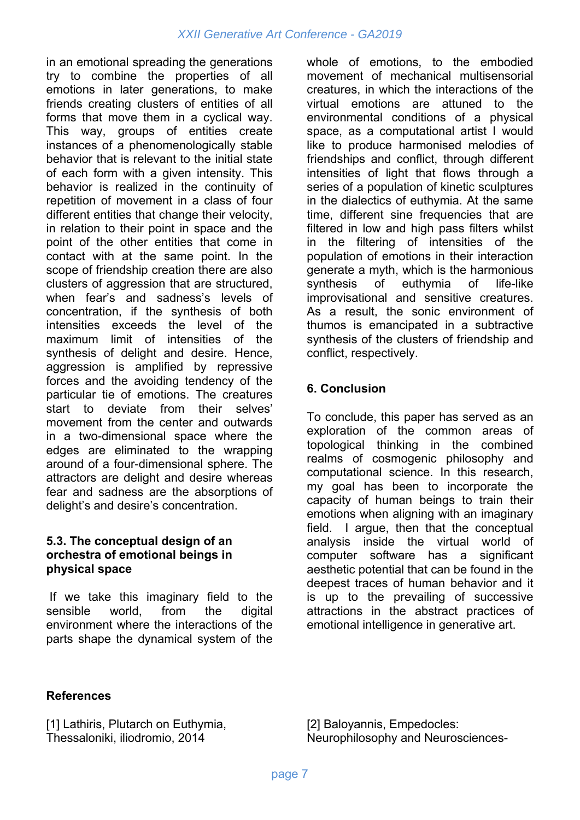in an emotional spreading the generations try to combine the properties of all emotions in later generations, to make friends creating clusters of entities of all forms that move them in a cyclical way. This way, groups of entities create instances of a phenomenologically stable behavior that is relevant to the initial state of each form with a given intensity. This behavior is realized in the continuity of repetition of movement in a class of four different entities that change their velocity, in relation to their point in space and the point of the other entities that come in contact with at the same point. In the scope of friendship creation there are also clusters of aggression that are structured, when fear's and sadness's levels of concentration, if the synthesis of both intensities exceeds the level of the maximum limit of intensities of the synthesis of delight and desire. Hence, aggression is amplified by repressive forces and the avoiding tendency of the particular tie of emotions. The creatures start to deviate from their selves' movement from the center and outwards in a two-dimensional space where the edges are eliminated to the wrapping around of a four-dimensional sphere. The attractors are delight and desire whereas fear and sadness are the absorptions of delight's and desire's concentration.

#### **5.3. The conceptual design of an orchestra of emotional beings in physical space**

 If we take this imaginary field to the sensible world, from the digital environment where the interactions of the parts shape the dynamical system of the

whole of emotions, to the embodied movement of mechanical multisensorial creatures, in which the interactions of the virtual emotions are attuned to the environmental conditions of a physical space, as a computational artist I would like to produce harmonised melodies of friendships and conflict, through different intensities of light that flows through a series of a population of kinetic sculptures in the dialectics of euthymia. At the same time, different sine frequencies that are filtered in low and high pass filters whilst in the filtering of intensities of the population of emotions in their interaction generate a myth, which is the harmonious synthesis of euthymia of life-like improvisational and sensitive creatures. As a result, the sonic environment of thumos is emancipated in a subtractive synthesis of the clusters of friendship and conflict, respectively.

## **6. Conclusion**

To conclude, this paper has served as an exploration of the common areas of topological thinking in the combined realms of cosmogenic philosophy and computational science. In this research, my goal has been to incorporate the capacity of human beings to train their emotions when aligning with an imaginary field. I argue, then that the conceptual analysis inside the virtual world of computer software has a significant aesthetic potential that can be found in the deepest traces of human behavior and it is up to the prevailing of successive attractions in the abstract practices of emotional intelligence in generative art.

#### **References**

[1] Lathiris, Plutarch on Euthymia, Thessaloniki, iliodromio, 2014

[2] Baloyannis, Empedocles: Neurophilosophy and Neurosciences-